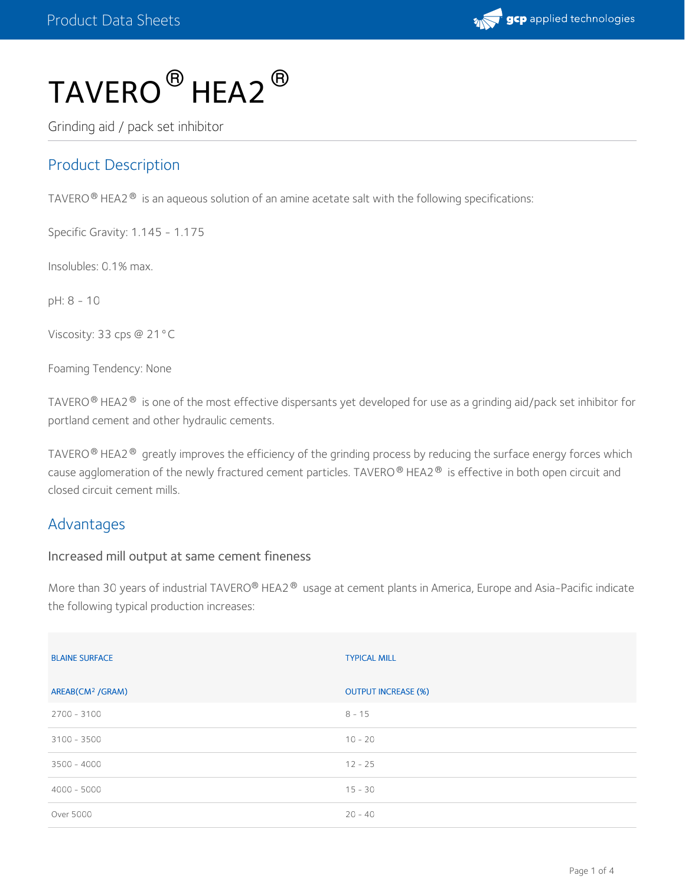

# $\mathsf{TAVERO}^{\, \circledR}$  HEA2  $^\circledR$

Grinding aid / pack set inhibitor

# Product Description

TAVERO  $^\circ$  HEA2  $^\circledast$  is an aqueous solution of an amine acetate salt with the following specifications:

Specific Gravity: 1.145 - 1.175

Insolubles: 0.1% max.

pH: 8 - 10

Viscosity: 33 cps @ 21°C

Foaming Tendency: None

TAVERO $^\circledR$  HEA2 $^\circledR$  is one of the most effective dispersants yet developed for use as a grinding aid/pack set inhibitor for portland cement and other hydraulic cements.

TAVERO $^\circ$  HEA2 $^\circ$  greatly improves the efficiency of the grinding process by reducing the surface energy forces which cause agglomeration of the newly fractured cement particles. TAVERO  $^\circledR$  HEA2  $^\circledR\,$  is effective in both open circuit and closed circuit cement mills.

#### Advantages

#### Increased mill output at same cement fineness

More than 30 years of industrial TAVERO® HEA2® usage at cement plants in America, Europe and Asia-Pacific indicate the following typical production increases:

| <b>BLAINE SURFACE</b>        | <b>TYPICAL MILL</b>        |
|------------------------------|----------------------------|
| AREAB(CM <sup>2</sup> /GRAM) | <b>OUTPUT INCREASE (%)</b> |
| 2700 - 3100                  | $8 - 15$                   |
| $3100 - 3500$                | $10 - 20$                  |
| $3500 - 4000$                | $12 - 25$                  |
| $4000 - 5000$                | $15 - 30$                  |
| Over 5000                    | $20 - 40$                  |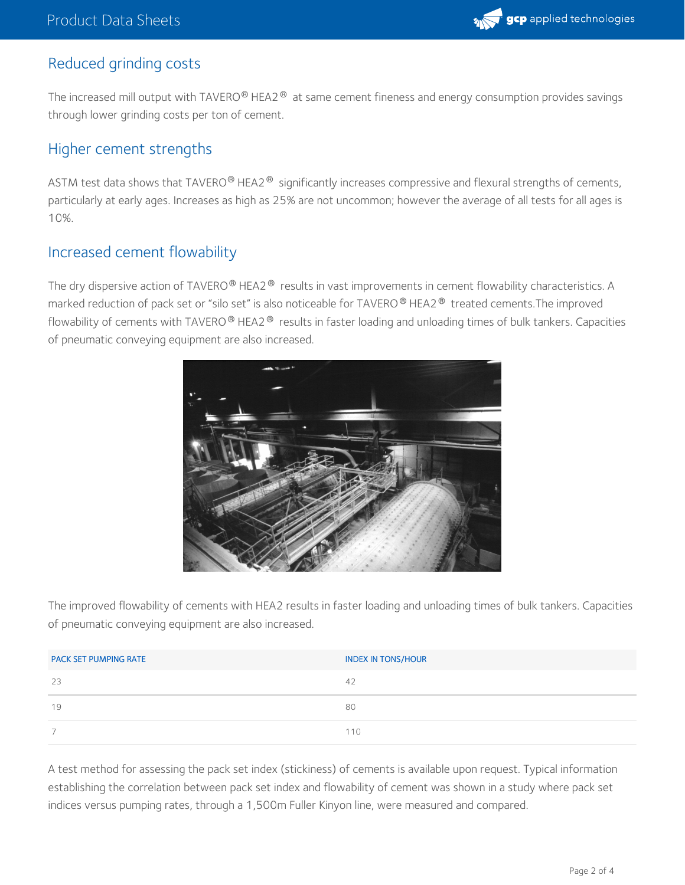

#### Reduced grinding costs

The increased mill output with TAVERO® HEA2® at same cement fineness and energy consumption provides savings through lower grinding costs per ton of cement.

#### Higher cement strengths

ASTM test data shows that TAVERO $^\circ$  HEA2 $^\circledast$  significantly increases compressive and flexural strengths of cements, particularly at early ages. Increases as high as 25% are not uncommon; however the average of all tests for all ages is 10%.

#### Increased cement flowability

The dry dispersive action of TAVERO $^\circledR$  HEA2  $^\circledR$  results in vast improvements in cement flowability characteristics. A marked reduction of pack set or "silo set" is also noticeable for TAVERO  $^\circ$  HEA2  $^\circ$  treated cements.The improved flowability of cements with TAVERO $^\circledR$  HEA2 $^\circledR$  results in faster loading and unloading times of bulk tankers. Capacities of pneumatic conveying equipment are also increased.



The improved flowability of cements with HEA2 results in faster loading and unloading times of bulk tankers. Capacities of pneumatic conveying equipment are also increased.

| <b>PACK SET PUMPING RATE</b> | <b>INDEX IN TONS/HOUR</b> |
|------------------------------|---------------------------|
| 23                           | 42                        |
| 19                           | 80                        |
|                              | 110                       |

A test method for assessing the pack set index (stickiness) of cements is available upon request. Typical information establishing the correlation between pack set index and flowability of cement was shown in a study where pack set indices versus pumping rates, through a 1,500m Fuller Kinyon line, were measured and compared.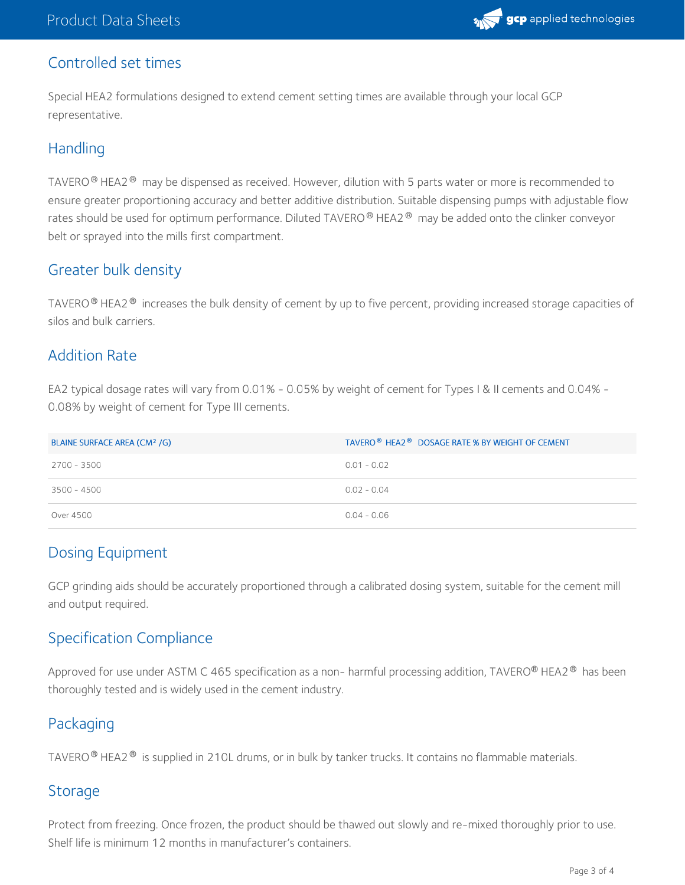

#### Controlled set times

Special HEA2 formulations designed to extend cement setting times are available through your local GCP representative.

## **Handling**

TAVERO $^\circledR$  HEA2 $^\circledR~$  may be dispensed as received. However, dilution with 5 parts water or more is recommended to ensure greater proportioning accuracy and better additive distribution. Suitable dispensing pumps with adjustable flow rates should be used for optimum performance. Diluted TAVERO ® HEA2 ®  $\,$  may be added onto the clinker conveyor belt or sprayed into the mills first compartment.

## Greater bulk density

TAVERO $^\circ$  HEA2 $^\circ$  increases the bulk density of cement by up to five percent, providing increased storage capacities of silos and bulk carriers.

## Addition Rate

EA2 typical dosage rates will vary from 0.01% - 0.05% by weight of cement for Types I & II cements and 0.04% - 0.08% by weight of cement for Type III cements.

| BLAINE SURFACE AREA (CM <sup>2</sup> /G) | TAVERO <sup>®</sup> HEA2 <sup>®</sup> DOSAGE RATE % BY WEIGHT OF CEMENT |
|------------------------------------------|-------------------------------------------------------------------------|
| 2700 - 3500                              | $0.01 - 0.02$                                                           |
| 3500 - 4500                              | $0.02 - 0.04$                                                           |
| Over 4500                                | $0.04 - 0.06$                                                           |

# Dosing Equipment

GCP grinding aids should be accurately proportioned through a calibrated dosing system, suitable for the cement mill and output required.

# Specification Compliance

Approved for use under ASTM C 465 specification as a non- harmful processing addition, TAVERO® HEA2® has been thoroughly tested and is widely used in the cement industry.

# Packaging

TAVERO $^\circledR$  HEA2 $^\circledR$  is supplied in 210L drums, or in bulk by tanker trucks. It contains no flammable materials.

## Storage

Protect from freezing. Once frozen, the product should be thawed out slowly and re-mixed thoroughly prior to use. Shelf life is minimum 12 months in manufacturer's containers.